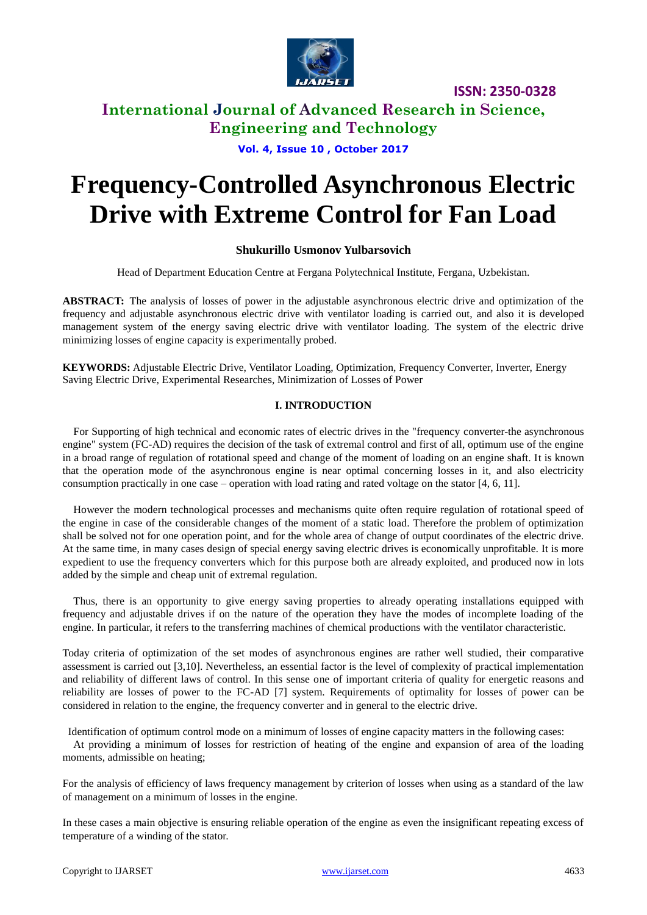

### **International Journal of Advanced Research in Science, Engineering and Technology**

**Vol. 4, Issue 10 , October 2017**

# **Frequency-Controlled Asynchronous Electric Drive with Extreme Control for Fan Load**

### **Shukurillo Usmonov Yulbarsovich**

Head of Department Education Centre at Fergana Polytechnical Institute, Fergana, Uzbekistan.

**ABSTRACT:** The analysis of losses of power in the adjustable asynchronous electric drive and optimization of the frequency and adjustable asynchronous electric drive with ventilator loading is carried out, and also it is developed management system of the energy saving electric drive with ventilator loading. The system of the electric drive minimizing losses of engine capacity is experimentally probed.

**KEYWORDS:** Adjustable Electric Drive, Ventilator Loading, Optimization, Frequency Converter, Inverter, Energy Saving Electric Drive, Experimental Researches, Minimization of Losses of Power

#### **I. INTRODUCTION**

For Supporting of high technical and economic rates of electric drives in the "frequency converter-the asynchronous engine" system (FC-AD) requires the decision of the task of extremal control and first of all, optimum use of the engine in a broad range of regulation of rotational speed and change of the moment of loading on an engine shaft. It is known that the operation mode of the asynchronous engine is near optimal concerning losses in it, and also electricity consumption practically in one case – operation with load rating and rated voltage on the stator [4, 6, 11].

However the modern technological processes and mechanisms quite often require regulation of rotational speed of the engine in case of the considerable changes of the moment of a static load. Therefore the problem of optimization shall be solved not for one operation point, and for the whole area of change of output coordinates of the electric drive. At the same time, in many cases design of special energy saving electric drives is economically unprofitable. It is more expedient to use the frequency converters which for this purpose both are already exploited, and produced now in lots added by the simple and cheap unit of extremal regulation.

Thus, there is an opportunity to give energy saving properties to already operating installations equipped with frequency and adjustable drives if on the nature of the operation they have the modes of incomplete loading of the engine. In particular, it refers to the transferring machines of chemical productions with the ventilator characteristic.

Today criteria of optimization of the set modes of asynchronous engines are rather well studied, their comparative assessment is carried out [3,10]. Nevertheless, an essential factor is the level of complexity of practical implementation and reliability of different laws of control. In this sense one of important criteria of quality for energetic reasons and reliability are losses of power to the FC-AD [7] system. Requirements of optimality for losses of power can be considered in relation to the engine, the frequency converter and in general to the electric drive.

Identification of optimum control mode on a minimum of losses of engine capacity matters in the following cases:

At providing a minimum of losses for restriction of heating of the engine and expansion of area of the loading moments, admissible on heating;

For the analysis of efficiency of laws frequency management by criterion of losses when using as a standard of the law of management on a minimum of losses in the engine.

In these cases a main objective is ensuring reliable operation of the engine as even the insignificant repeating excess of temperature of a winding of the stator.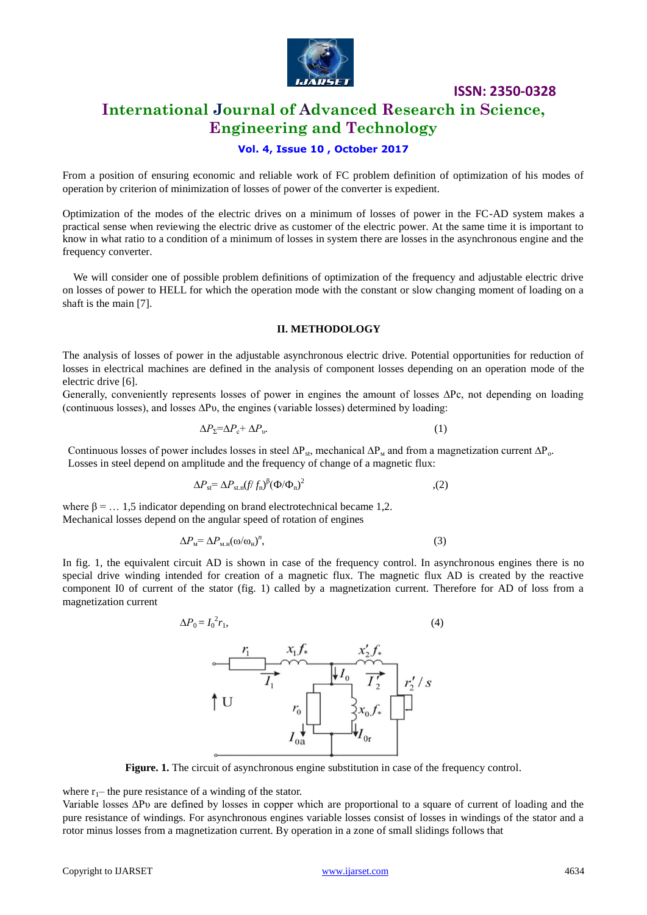

### **International Journal of Advanced Research in Science, Engineering and Technology**

#### **Vol. 4, Issue 10 , October 2017**

From a position of ensuring economic and reliable work of FC problem definition of optimization of his modes of operation by criterion of minimization of losses of power of the converter is expedient.

Optimization of the modes of the electric drives on a minimum of losses of power in the FC-AD system makes a practical sense when reviewing the electric drive as customer of the electric power. At the same time it is important to know in what ratio to a condition of a minimum of losses in system there are losses in the asynchronous engine and the frequency converter.

We will consider one of possible problem definitions of optimization of the frequency and adjustable electric drive on losses of power to HELL for which the operation mode with the constant or slow changing moment of loading on a shaft is the main [7].

#### **II. METHODOLOGY**

The analysis of losses of power in the adjustable asynchronous electric drive. Potential opportunities for reduction of losses in electrical machines are defined in the analysis of component losses depending on an operation mode of the electric drive [6].

Generally, conveniently represents losses of power in engines the amount of losses ΔPc, not depending on loading (continuous losses), and losses ∆Рυ, the engines (variable losses) determined by loading:

$$
\Delta P_{\Sigma} = \Delta P_{\mathbf{c}} + \Delta P_{\mathbf{v}}.\tag{1}
$$

Continuous losses of power includes losses in steel  $\Delta P_s$ , mechanical  $\Delta P_w$  and from a magnetization current  $\Delta P_o$ . Losses in steel depend on amplitude and the frequency of change of a magnetic flux:

$$
\Delta P_{\rm st} = \Delta P_{\rm st,n}(f/f_n)^{\beta} (\Phi/\Phi_n)^2 \tag{2}
$$

where  $\beta = ... 1.5$  indicator depending on brand electrotechnical became 1.2. Mechanical losses depend on the angular speed of rotation of engines

$$
\Delta P_{\rm M} = \Delta P_{\rm M.H}(\omega/\omega_{\rm H})^n, \tag{3}
$$

In fig. 1, the equivalent circuit AD is shown in case of the frequency control. In asynchronous engines there is no special drive winding intended for creation of a magnetic flux. The magnetic flux AD is created by the reactive component I0 of current of the stator (fig. 1) called by a magnetization current. Therefore for AD of loss from a magnetization current

$$
\Delta P_0 = I_0^2 r_1,\tag{4}
$$



**Figure. 1.** The circuit of asynchronous engine substitution in case of the frequency control.

where  $r_1$ – the pure resistance of a winding of the stator.

Variable losses ∆Рυ are defined by losses in copper which are proportional to a square of current of loading and the pure resistance of windings. For asynchronous engines variable losses consist of losses in windings of the stator and a rotor minus losses from a magnetization current. By operation in a zone of small slidings follows that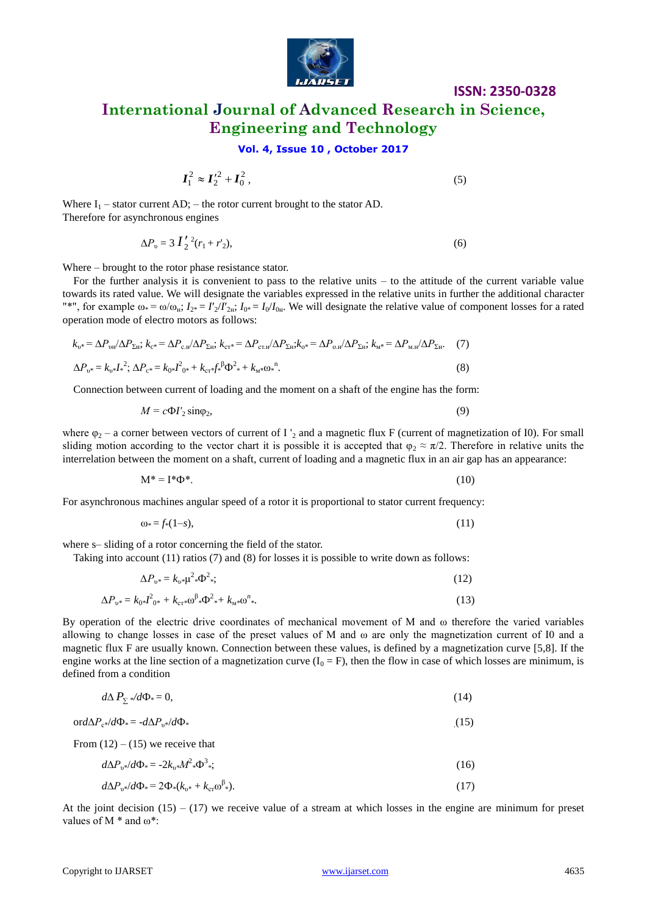

# **ISSN: 2350-0328 International Journal of Advanced Research in Science, Engineering and Technology**

#### **Vol. 4, Issue 10 , October 2017**

$$
I_1^2 \approx I_2'^2 + I_0^2, \tag{5}
$$

Where  $I_1$  – stator current AD; – the rotor current brought to the stator AD. Therefore for asynchronous engines

$$
\Delta P_{v} = 3 I'_{2}^{2} (r_{1} + r'_{2}), \tag{6}
$$

Where – brought to the rotor phase resistance stator.

For the further analysis it is convenient to pass to the relative units – to the attitude of the current variable value towards its rated value. We will designate the variables expressed in the relative units in further the additional character "\*", for example  $\omega_* = \omega/\omega_{\text{H}}$ ;  $I_{2*} = I_2/I_{2\text{H}}$ ;  $I_{0*} = I_0/I_{0\text{H}}$ . We will designate the relative value of component losses for a rated operation mode of electro motors as follows:

$$
k_{v*} = \Delta P_{vu} / \Delta P_{\Sigma H}; k_{c*} = \Delta P_{c,H} / \Delta P_{\Sigma H}; k_{cr*} = \Delta P_{cr,H} / \Delta P_{\Sigma H}; k_{v*} = \Delta P_{o,H} / \Delta P_{\Sigma H}; k_{M*} = \Delta P_{M,H} / \Delta P_{\Sigma H}.
$$
 (7)  

$$
\Delta P_{v*} = k_{v*} I^2; \Delta P_{c*} = k_{0*} I^2_{0*} + k_{cr*} f^2_{v*} \Phi^2_{v*} + k_{M*} \omega^2_{v*}.
$$
 (8)

Connection between current of loading and the moment on a shaft of the engine has the form:

$$
M = c\Phi I_2' \sin\varphi_2,\tag{9}
$$

where  $\varphi_2$  – a corner between vectors of current of I  $_2$  and a magnetic flux F (current of magnetization of I0). For small sliding motion according to the vector chart it is possible it is accepted that  $\varphi_2 \approx \pi/2$ . Therefore in relative units the interrelation between the moment on a shaft, current of loading and a magnetic flux in an air gap has an appearance:

 $M^* = I^* \Phi^*$ . (10)

For asynchronous machines angular speed of a rotor it is proportional to stator current frequency:

$$
\omega_* = f_*(1-s),\tag{11}
$$

where s– sliding of a rotor concerning the field of the stator.

Taking into account (11) ratios (7) and (8) for losses it is possible to write down as follows:

$$
\Delta P_{v^*} = k_{v^*} \mu^2 \ast \Phi^2 \ast; \tag{12}
$$

$$
\Delta P_{v^*} = k_0 I_{v^*}^2 + k_{cr^*} \omega^{\beta} I_{v^*} \Phi^2 + k_{M^*} \omega^n. \tag{13}
$$

 $I_1^2 \approx I_2^2 + I_3^2$ , (5)<br>
Where  $I_1 =$  minor cancel AD,  $\Delta E_2 = I_3^2$ ,  $\Delta E_3 = I_4^2$  (i)<br>
Therefore for any absorption control of the minimal entire is the relation in the arriver is entirely absorption of the composite By operation of the electric drive coordinates of mechanical movement of M and ω therefore the varied variables allowing to change losses in case of the preset values of M and ω are only the magnetization current of I0 and a magnetic flux F are usually known. Connection between these values, is defined by a magnetization curve [5,8]. If the engine works at the line section of a magnetization curve  $(I_0 = F)$ , then the flow in case of which losses are minimum, is defined from a condition

$$
d\Delta P_{\Sigma} * d\Phi_* = 0,\tag{14}
$$

$$
\text{ord}\Delta P_{\mathbf{c}^*}/d\Phi = -d\Delta P_{\mathbf{v}^*}/d\Phi.
$$
 (15)

From  $(12) - (15)$  we receive that

$$
d\Delta P_{v^*}/d\Phi_* = -2k_{v^*}M^2 \Phi^3; \tag{16}
$$

$$
d\Delta P_{v^*}/d\Phi_* = 2\Phi_*(k_{v^*} + k_{cr}\omega^{\beta_*}).\tag{17}
$$

At the joint decision  $(15) - (17)$  we receive value of a stream at which losses in the engine are minimum for preset values of M  $*$  and  $\omega^*$ :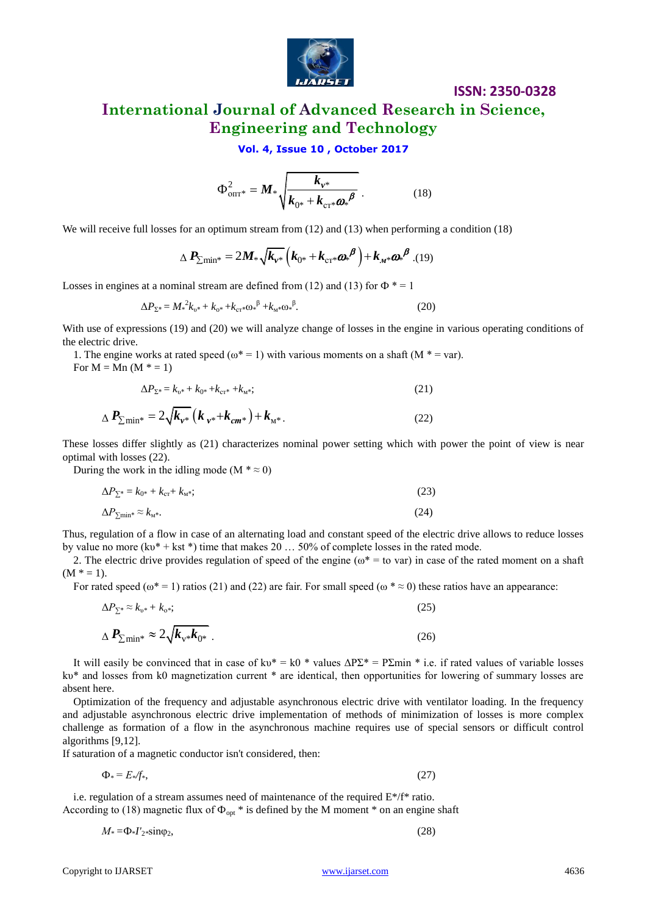

## **International Journal of Advanced Research in Science, Engineering and Technology**

**Vol. 4, Issue 10 , October 2017**

$$
\Phi_{\text{on}T^*}^2 = M_* \sqrt{\frac{k_{\nu^*}}{k_{0^*} + k_{\text{cr}^*} \omega_*^{\beta}}} \ . \tag{18}
$$

We will receive full losses for an optimum stream from  $(12)$  and  $(13)$  when performing a condition  $(18)$ 

$$
\Delta P_{\sum \min^*} = 2M_* \sqrt{k_{v^*}} \left( k_{0^*} + k_{\text{cr}^*} \omega^{\beta} \right) + k_{M^*} \omega^{\beta} . (19)
$$

Losses in engines at a nominal stream are defined from (12) and (13) for  $\Phi^* = 1$ 

$$
\Delta P_{\Sigma^*} = M_*^2 k_{v^*} + k_{v^*} + k_{\text{cr}} k \omega^{\beta} + k_{M^*} \omega^{\beta}.
$$
 (20)

With use of expressions (19) and (20) we will analyze change of losses in the engine in various operating conditions of the electric drive.

1. The engine works at rated speed ( $\omega^* = 1$ ) with various moments on a shaft (M  $* = \text{var}$ ). For  $M = Mn (M^* = 1)$ 

$$
\Delta P_{\Sigma^*} = k_{v^*} + k_{0^*} + k_{cr^*} + k_{w^*};\tag{21}
$$

$$
\Delta P_{\sum \min^*} = 2\sqrt{k_{\nu^*}} \left( k_{\nu^*} + k_{cm^*} \right) + k_{\mu^*}.
$$
 (22)

These losses differ slightly as (21) characterizes nominal power setting which with power the point of view is near optimal with losses (22).

During the work in the idling mode (M  $* \approx 0$ )

$$
\Delta P_{\Sigma^*} = k_{0^*} + k_{\rm cr} + k_{\rm M*};\tag{23}
$$

$$
\Delta P_{\Sigma^{\rm min}*} \approx k_{\rm M*}.
$$

Thus, regulation of a flow in case of an alternating load and constant speed of the electric drive allows to reduce losses by value no more (kv\* + kst \*) time that makes 20 ... 50% of complete losses in the rated mode.

2. The electric drive provides regulation of speed of the engine ( $\omega^*$  = to var) in case of the rated moment on a shaft  $(M * = 1)$ .

For rated speed ( $\omega^*$  = 1) ratios (21) and (22) are fair. For small speed ( $\omega^*$   $\approx$  0) these ratios have an appearance:

$$
\Delta P_{\Sigma^*} \approx k_{\nu^*} + k_{\sigma^*};
$$
\n
$$
\Delta P_{\Sigma \text{min}^*} \approx 2 \sqrt{k_{\nu^*} k_{0^*}}.
$$
\n(26)

It will easily be convinced that in case of kv\* = k0 \* values  $\Delta P\Sigma^* = P\Sigma$ min \* i.e. if rated values of variable losses kυ\* and losses from k0 magnetization current \* are identical, then opportunities for lowering of summary losses are absent here.

 $\Phi_{\text{grav}} = M_2 \sqrt{\frac{K_{\text{grav}}}{K_{\text{grav}}} + \frac{K_{\text{grav}}}{K_{\text{grav}}}$  (18)<br>
We will access the fill bests for an optimum stream from 12) and (13) when performing a condition (16)<br>  $\Delta P_{\text{Z}-\text{min}} = 2M_2 \sqrt{k_{\text{av}}} \left( k_{\text{av}} + k_{\text{av}} \omega R^2 + 19$ Optimization of the frequency and adjustable asynchronous electric drive with ventilator loading. In the frequency and adjustable asynchronous electric drive implementation of methods of minimization of losses is more complex challenge as formation of a flow in the asynchronous machine requires use of special sensors or difficult control algorithms [9,12].

If saturation of a magnetic conductor isn't considered, then:

$$
\Phi_* = E_* / f_*,\tag{27}
$$

i.e. regulation of a stream assumes need of maintenance of the required E\*/f\* ratio. According to (18) magnetic flux of  $\Phi_{\text{opt}}$  \* is defined by the M moment \* on an engine shaft

$$
M_* = \Phi_* I'_2 * \sin \varphi_2, \tag{28}
$$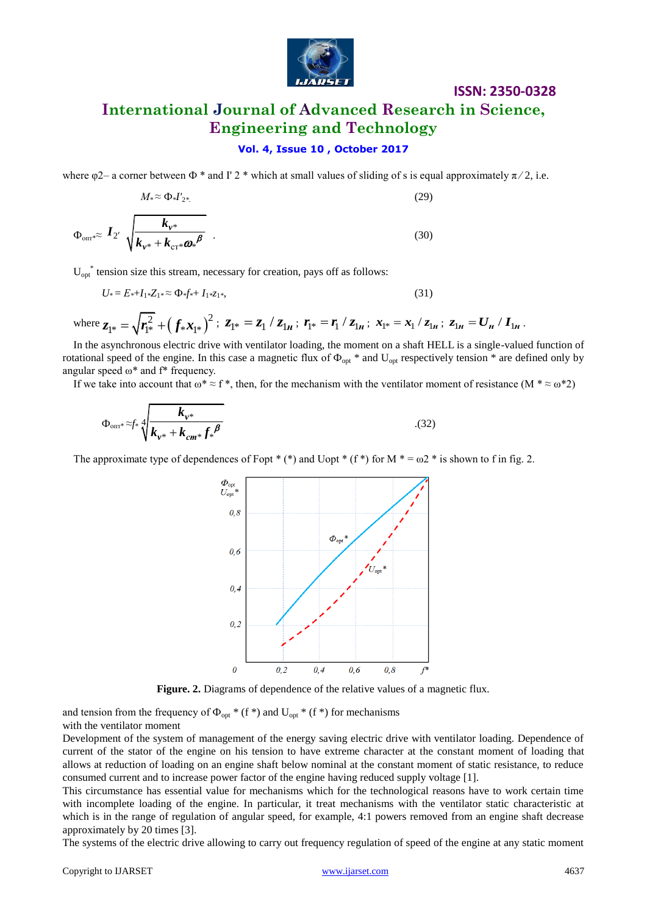

# **International Journal of Advanced Research in Science, Engineering and Technology**

### **Vol. 4, Issue 10 , October 2017**

where  $\varphi$ 2– a corner between  $\Phi^*$  and I' 2 \* which at small values of sliding of s is equal approximately  $\pi/2$ , i.e.

$$
M_{*} \approx \Phi_{*} I'_{2*} \tag{29}
$$
\n
$$
\Phi_{\text{on} *} \approx I_{2'} \sqrt{\frac{k_{v*}}{k_{v*} + k_{\text{cr}*} \omega_{*} \beta}} \tag{30}
$$

 $U_{opt}^*$  tension size this stream, necessary for creation, pays off as follows:

$$
U_* = E_* + I_1 * Z_1 * \approx \Phi_* f_* + I_1 * Z_1 * \tag{31}
$$

 $\text{where } z_{1^*} = \sqrt{r_{1^*}^2 + (f_*x_{1^*})^2} \text{; } z_{1^*} = z_1 / z_{1_H} \text{; } r_{1^*} = r_1 / z_{1_H} \text{; } x_{1^*} = x_1 / z_{1_H} \text{; } z_{1_H} = U_H / I_H \text{.}$ 

In the asynchronous electric drive with ventilator loading, the moment on a shaft HELL is a single-valued function of rotational speed of the engine. In this case a magnetic flux of  $\Phi_{opt}$  \* and  $U_{opt}$  respectively tension \* are defined only by angular speed ω\* and f\* frequency.

If we take into account that  $\omega^* \approx f^*$ , then, for the mechanism with the ventilator moment of resistance (M  $^* \approx \omega^* 2$ )

$$
\Phi_{\text{on}r^*} \approx f_* \sqrt[4]{\frac{k_{\nu^*}}{k_{\nu^*} + k_{cm^*}f_*^{\beta}}}
$$
 (32)

The approximate type of dependences of Fopt \* (\*) and Uopt \* (f \*) for M  $* = \omega^2$  \* is shown to f in fig. 2.



Figure. 2. Diagrams of dependence of the relative values of a magnetic flux.

and tension from the frequency of  $\Phi_{opt}$  \* (f \*) and U<sub>opt</sub> \* (f \*) for mechanisms with the ventilator moment

Development of the system of management of the energy saving electric drive with ventilator loading. Dependence of current of the stator of the engine on his tension to have extreme character at the constant moment of loading that allows at reduction of loading on an engine shaft below nominal at the constant moment of static resistance, to reduce consumed current and to increase power factor of the engine having reduced supply voltage [1].

This circumstance has essential value for mechanisms which for the technological reasons have to work certain time with incomplete loading of the engine. In particular, it treat mechanisms with the ventilator static characteristic at which is in the range of regulation of angular speed, for example, 4:1 powers removed from an engine shaft decrease approximately by 20 times [3].

The systems of the electric drive allowing to carry out frequency regulation of speed of the engine at any static moment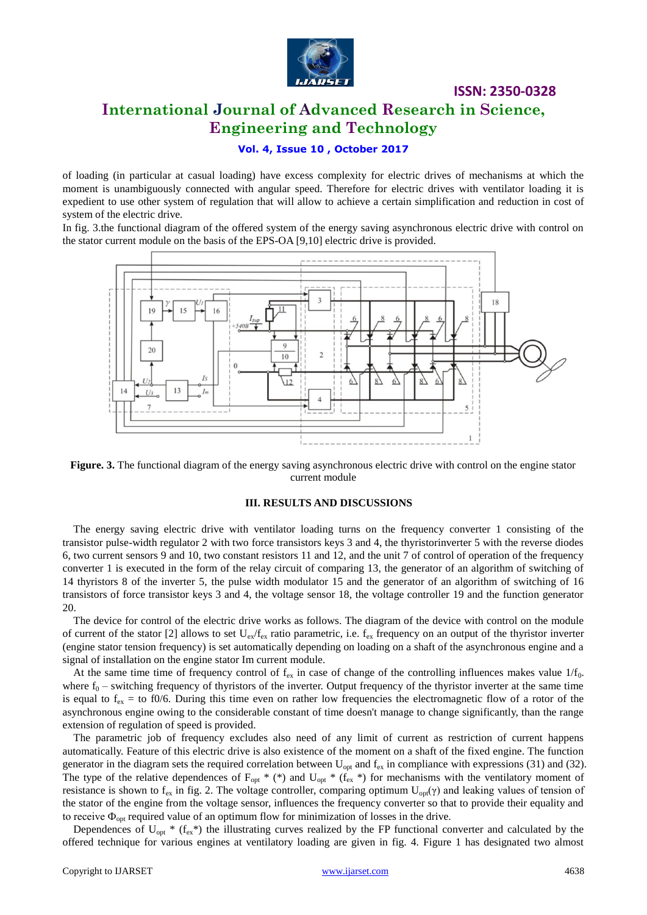

### **International Journal of Advanced Research in Science, Engineering and Technology**

#### **Vol. 4, Issue 10 , October 2017**

of loading (in particular at casual loading) have excess complexity for electric drives of mechanisms at which the moment is unambiguously connected with angular speed. Therefore for electric drives with ventilator loading it is expedient to use other system of regulation that will allow to achieve a certain simplification and reduction in cost of system of the electric drive.

In fig. 3.the functional diagram of the offered system of the energy saving asynchronous electric drive with control on the stator current module on the basis of the EPS-OA [9,10] electric drive is provided.



**Figure. 3.** The functional diagram of the energy saving asynchronous electric drive with control on the engine stator current module

#### **III. RESULTS AND DISCUSSIONS**

The energy saving electric drive with ventilator loading turns on the frequency converter 1 consisting of the transistor pulse-width regulator 2 with two force transistors keys 3 and 4, the thyristorinverter 5 with the reverse diodes 6, two current sensors 9 and 10, two constant resistors 11 and 12, and the unit 7 of control of operation of the frequency converter 1 is executed in the form of the relay circuit of comparing 13, the generator of an algorithm of switching of 14 thyristors 8 of the inverter 5, the pulse width modulator 15 and the generator of an algorithm of switching of 16 transistors of force transistor keys 3 and 4, the voltage sensor 18, the voltage controller 19 and the function generator 20.

The device for control of the electric drive works as follows. The diagram of the device with control on the module of current of the stator [2] allows to set  $U_{ex}/f_{ex}$  ratio parametric, i.e.  $f_{ex}$  frequency on an output of the thyristor inverter (engine stator tension frequency) is set automatically depending on loading on a shaft of the asynchronous engine and a signal of installation on the engine stator Im current module.

At the same time time of frequency control of  $f_{ex}$  in case of change of the controlling influences makes value  $1/f_0$ . where  $f_0$  – switching frequency of thyristors of the inverter. Output frequency of the thyristor inverter at the same time is equal to  $f_{ex} =$  to f0/6. During this time even on rather low frequencies the electromagnetic flow of a rotor of the asynchronous engine owing to the considerable constant of time doesn't manage to change significantly, than the range extension of regulation of speed is provided.

The parametric job of frequency excludes also need of any limit of current as restriction of current happens automatically. Feature of this electric drive is also existence of the moment on a shaft of the fixed engine. The function generator in the diagram sets the required correlation between  $U_{opt}$  and  $f_{ex}$  in compliance with expressions (31) and (32). The type of the relative dependences of  $F_{opt}$  \* (\*) and  $U_{opt}$  \* ( $f_{ex}$  \*) for mechanisms with the ventilatory moment of resistance is shown to f<sub>ex</sub> in fig. 2. The voltage controller, comparing optimum  $U_{opt}(\gamma)$  and leaking values of tension of the stator of the engine from the voltage sensor, influences the frequency converter so that to provide their equality and to receive  $\Phi_{\text{out}}$  required value of an optimum flow for minimization of losses in the drive.

Dependences of  $U_{opt}$  \* ( $f_{ex}$ \*) the illustrating curves realized by the FP functional converter and calculated by the offered technique for various engines at ventilatory loading are given in fig. 4. Figure 1 has designated two almost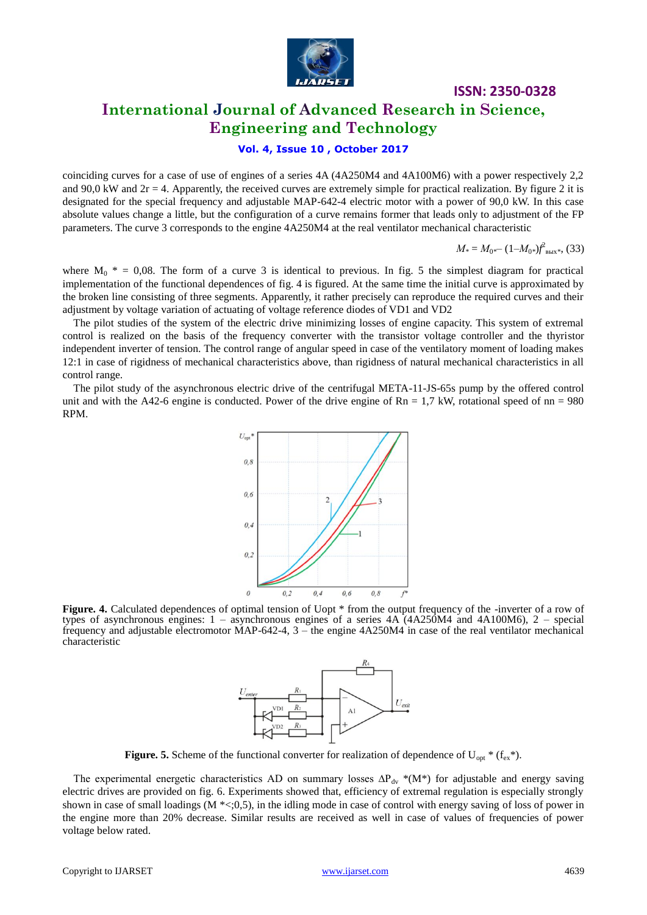

### **International Journal of Advanced Research in Science, Engineering and Technology**

#### **Vol. 4, Issue 10 , October 2017**

coinciding curves for a case of use of engines of a series 4A (4A250M4 and 4A100M6) with a power respectively 2,2 and 90,0 kW and  $2r = 4$ . Apparently, the received curves are extremely simple for practical realization. By figure 2 it is designated for the special frequency and adjustable MAP-642-4 electric motor with a power of 90,0 kW. In this case absolute values change a little, but the configuration of a curve remains former that leads only to adjustment of the FP parameters. The curve 3 corresponds to the engine 4A250M4 at the real ventilator mechanical characteristic

$$
M_* = M_{0*} - (1 - M_{0*}) f_{\text{BhIX}*}^2
$$
, (33)

where  $M_0$  \* = 0,08. The form of a curve 3 is identical to previous. In fig. 5 the simplest diagram for practical implementation of the functional dependences of fig. 4 is figured. At the same time the initial curve is approximated by the broken line consisting of three segments. Apparently, it rather precisely can reproduce the required curves and their adjustment by voltage variation of actuating of voltage reference diodes of VD1 and VD2

The pilot studies of the system of the electric drive minimizing losses of engine capacity. This system of extremal control is realized on the basis of the frequency converter with the transistor voltage controller and the thyristor independent inverter of tension. The control range of angular speed in case of the ventilatory moment of loading makes 12:1 in case of rigidness of mechanical characteristics above, than rigidness of natural mechanical characteristics in all control range.

The pilot study of the asynchronous electric drive of the centrifugal META-11-JS-65s pump by the offered control unit and with the A42-6 engine is conducted. Power of the drive engine of  $\text{Rn} = 1.7 \text{ kW}$ , rotational speed of  $\text{nn} = 980$ RPM.



**Figure. 4.** Calculated dependences of optimal tension of Uopt  $*$  from the output frequency of the -inverter of a row of types of asynchronous engines: 1 – asynchronous engines of a series 4A (4A250M4 and 4A100M6), 2 – special frequency and adjustable electromotor MAP-642-4, 3 – the engine 4A250M4 in case of the real ventilator mechanical characteristic



**Figure. 5.** Scheme of the functional converter for realization of dependence of  $U_{\text{opt}}$ <sup>\*</sup> ( $f_{\text{ex}}$ <sup>\*</sup>).

The experimental energetic characteristics AD on summary losses  $\Delta P_{dv}$  \*(M\*) for adjustable and energy saving electric drives are provided on fig. 6. Experiments showed that, efficiency of extremal regulation is especially strongly shown in case of small loadings  $(M \ll 0, 0, 0)$ , in the idling mode in case of control with energy saving of loss of power in the engine more than 20% decrease. Similar results are received as well in case of values of frequencies of power voltage below rated.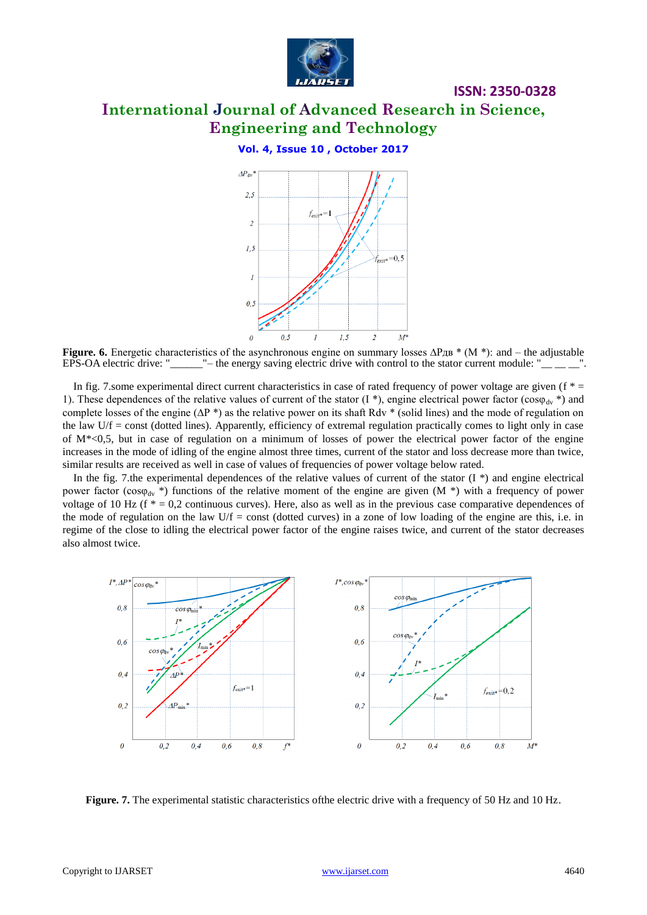

# **International Journal of Advanced Research in Science, Engineering and Technology**

**ISSN: 2350-0328**

#### **Vol. 4, Issue 10 , October 2017**



**Figure. 6.** Energetic characteristics of the asynchronous engine on summary losses ∆Рдв \* (M \*): and – the adjustable EPS-OA electric drive: " — the energy saving electric drive with control to the stator current module  $\Box$ "– the energy saving electric drive with control to the stator current module: "

In fig. 7.some experimental direct current characteristics in case of rated frequency of power voltage are given ( $f^*$  = 1). These dependences of the relative values of current of the stator (I \*), engine electrical power factor ( $\cos\varphi_{\rm dv}$  \*) and complete losses of the engine ( $\Delta P^*$ ) as the relative power on its shaft Rdv \* (solid lines) and the mode of regulation on the law  $U/f = \text{const}$  (dotted lines). Apparently, efficiency of extremal regulation practically comes to light only in case of M\*<0,5, but in case of regulation on a minimum of losses of power the electrical power factor of the engine increases in the mode of idling of the engine almost three times, current of the stator and loss decrease more than twice, similar results are received as well in case of values of frequencies of power voltage below rated.

In the fig. 7.the experimental dependences of the relative values of current of the stator  $(I^*)$  and engine electrical power factor (cos $\varphi_{\text{dv}}$ <sup>\*</sup>) functions of the relative moment of the engine are given (M<sup>\*</sup>) with a frequency of power voltage of 10 Hz ( $f * = 0.2$  continuous curves). Here, also as well as in the previous case comparative dependences of the mode of regulation on the law  $U/f = const$  (dotted curves) in a zone of low loading of the engine are this, i.e. in regime of the close to idling the electrical power factor of the engine raises twice, and current of the stator decreases also almost twice.



**Figure. 7.** The experimental statistic characteristics of the electric drive with a frequency of 50 Hz and 10 Hz.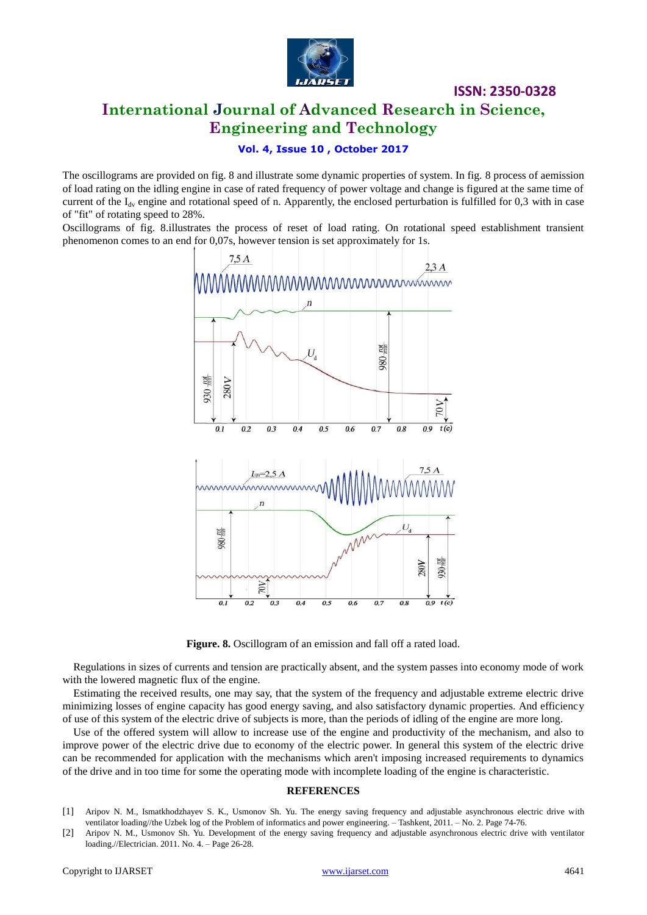

# **International Journal of Advanced Research in Science, Engineering and Technology**

#### **Vol. 4, Issue 10 , October 2017**

The oscillograms are provided on fig. 8 and illustrate some dynamic properties of system. In fig. 8 process of aemission of load rating on the idling engine in case of rated frequency of power voltage and change is figured at the same time of current of the  $I_{\text{dv}}$  engine and rotational speed of n. Apparently, the enclosed perturbation is fulfilled for 0,3 with in case of "fit" of rotating speed to 28%.

Oscillograms of fig. 8.illustrates the process of reset of load rating. On rotational speed establishment transient phenomenon comes to an end for 0,07s, however tension is set approximately for 1s.



Figure. 8. Oscillogram of an emission and fall off a rated load.

Regulations in sizes of currents and tension are practically absent, and the system passes into economy mode of work with the lowered magnetic flux of the engine.

Estimating the received results, one may say, that the system of the frequency and adjustable extreme electric drive minimizing losses of engine capacity has good energy saving, and also satisfactory dynamic properties. And efficiency of use of this system of the electric drive of subjects is more, than the periods of idling of the engine are more long.

Use of the offered system will allow to increase use of the engine and productivity of the mechanism, and also to improve power of the electric drive due to economy of the electric power. In general this system of the electric drive can be recommended for application with the mechanisms which aren't imposing increased requirements to dynamics of the drive and in too time for some the operating mode with incomplete loading of the engine is characteristic.

#### **REFERENCES**

<sup>[1]</sup> Aripov N. M., Ismatkhodzhayev S. K., Usmonov Sh. Yu. The energy saving frequency and adjustable asynchronous electric drive with ventilator loading//the Uzbek log of the Problem of informatics and power engineering. – Tashkent, 2011. – No. 2. Page 74-76.

<sup>[2]</sup> Aripov N. M., Usmonov Sh. Yu. Development of the energy saving frequency and adjustable asynchronous electric drive with ventilator loading.//Electrician. 2011. No. 4. – Page 26-28.